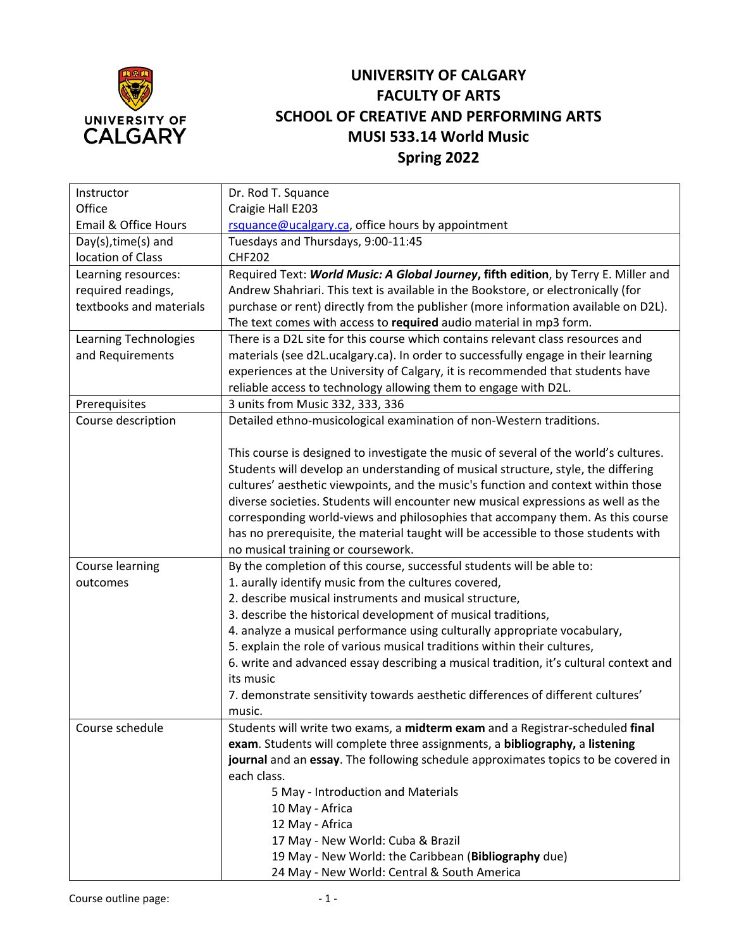

## **UNIVERSITY OF CALGARY FACULTY OF ARTS SCHOOL OF CREATIVE AND PERFORMING ARTS MUSI 533.14 World Music Spring 2022**

| Instructor              | Dr. Rod T. Squance                                                                    |
|-------------------------|---------------------------------------------------------------------------------------|
| Office                  | Craigie Hall E203                                                                     |
| Email & Office Hours    | rsquance@ucalgary.ca, office hours by appointment                                     |
| Day(s), time(s) and     | Tuesdays and Thursdays, 9:00-11:45                                                    |
| location of Class       | <b>CHF202</b>                                                                         |
| Learning resources:     | Required Text: World Music: A Global Journey, fifth edition, by Terry E. Miller and   |
| required readings,      | Andrew Shahriari. This text is available in the Bookstore, or electronically (for     |
| textbooks and materials | purchase or rent) directly from the publisher (more information available on D2L).    |
|                         | The text comes with access to required audio material in mp3 form.                    |
| Learning Technologies   | There is a D2L site for this course which contains relevant class resources and       |
| and Requirements        | materials (see d2L.ucalgary.ca). In order to successfully engage in their learning    |
|                         | experiences at the University of Calgary, it is recommended that students have        |
|                         | reliable access to technology allowing them to engage with D2L.                       |
| Prerequisites           | 3 units from Music 332, 333, 336                                                      |
| Course description      | Detailed ethno-musicological examination of non-Western traditions.                   |
|                         |                                                                                       |
|                         | This course is designed to investigate the music of several of the world's cultures.  |
|                         | Students will develop an understanding of musical structure, style, the differing     |
|                         | cultures' aesthetic viewpoints, and the music's function and context within those     |
|                         | diverse societies. Students will encounter new musical expressions as well as the     |
|                         | corresponding world-views and philosophies that accompany them. As this course        |
|                         | has no prerequisite, the material taught will be accessible to those students with    |
|                         | no musical training or coursework.                                                    |
| Course learning         | By the completion of this course, successful students will be able to:                |
| outcomes                | 1. aurally identify music from the cultures covered,                                  |
|                         | 2. describe musical instruments and musical structure,                                |
|                         | 3. describe the historical development of musical traditions,                         |
|                         | 4. analyze a musical performance using culturally appropriate vocabulary,             |
|                         | 5. explain the role of various musical traditions within their cultures,              |
|                         | 6. write and advanced essay describing a musical tradition, it's cultural context and |
|                         | its music                                                                             |
|                         | 7. demonstrate sensitivity towards aesthetic differences of different cultures'       |
|                         | music.                                                                                |
| Course schedule         | Students will write two exams, a midterm exam and a Registrar-scheduled final         |
|                         | exam. Students will complete three assignments, a bibliography, a listening           |
|                         | journal and an essay. The following schedule approximates topics to be covered in     |
|                         | each class.                                                                           |
|                         | 5 May - Introduction and Materials                                                    |
|                         | 10 May - Africa                                                                       |
|                         | 12 May - Africa                                                                       |
|                         | 17 May - New World: Cuba & Brazil                                                     |
|                         | 19 May - New World: the Caribbean (Bibliography due)                                  |
|                         | 24 May - New World: Central & South America                                           |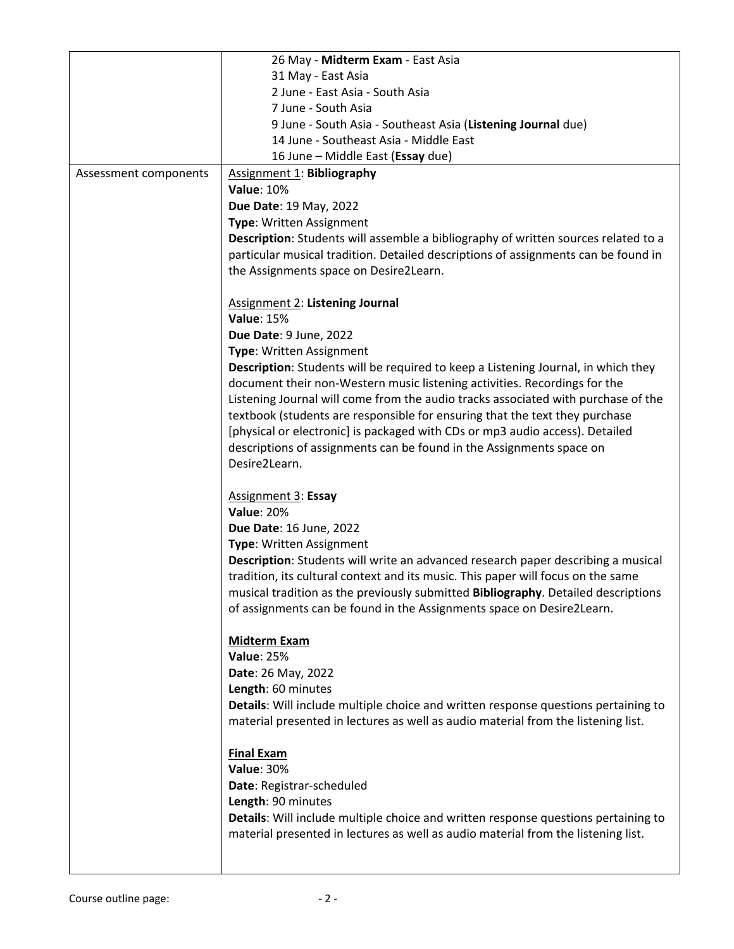|                       | 26 May - Midterm Exam - East Asia                                                         |
|-----------------------|-------------------------------------------------------------------------------------------|
|                       | 31 May - East Asia                                                                        |
|                       | 2 June - East Asia - South Asia                                                           |
|                       | 7 June - South Asia                                                                       |
|                       | 9 June - South Asia - Southeast Asia (Listening Journal due)                              |
|                       | 14 June - Southeast Asia - Middle East                                                    |
|                       | 16 June - Middle East (Essay due)                                                         |
| Assessment components | <b>Assignment 1: Bibliography</b>                                                         |
|                       | <b>Value: 10%</b>                                                                         |
|                       |                                                                                           |
|                       | Due Date: 19 May, 2022                                                                    |
|                       | Type: Written Assignment                                                                  |
|                       | Description: Students will assemble a bibliography of written sources related to a        |
|                       | particular musical tradition. Detailed descriptions of assignments can be found in        |
|                       | the Assignments space on Desire2Learn.                                                    |
|                       | <b>Assignment 2: Listening Journal</b>                                                    |
|                       | <b>Value: 15%</b>                                                                         |
|                       | Due Date: 9 June, 2022                                                                    |
|                       | Type: Written Assignment                                                                  |
|                       | Description: Students will be required to keep a Listening Journal, in which they         |
|                       | document their non-Western music listening activities. Recordings for the                 |
|                       | Listening Journal will come from the audio tracks associated with purchase of the         |
|                       | textbook (students are responsible for ensuring that the text they purchase               |
|                       | [physical or electronic] is packaged with CDs or mp3 audio access). Detailed              |
|                       | descriptions of assignments can be found in the Assignments space on                      |
|                       | Desire2Learn.                                                                             |
|                       | <b>Assignment 3: Essay</b>                                                                |
|                       | <b>Value: 20%</b>                                                                         |
|                       | Due Date: 16 June, 2022                                                                   |
|                       | Type: Written Assignment                                                                  |
|                       | Description: Students will write an advanced research paper describing a musical          |
|                       |                                                                                           |
|                       | tradition, its cultural context and its music. This paper will focus on the same          |
|                       | musical tradition as the previously submitted <b>Bibliography</b> . Detailed descriptions |
|                       | of assignments can be found in the Assignments space on Desire2Learn.                     |
|                       | <b>Midterm Exam</b>                                                                       |
|                       | <b>Value: 25%</b>                                                                         |
|                       | Date: 26 May, 2022                                                                        |
|                       | Length: 60 minutes                                                                        |
|                       | Details: Will include multiple choice and written response questions pertaining to        |
|                       | material presented in lectures as well as audio material from the listening list.         |
|                       | <b>Final Exam</b>                                                                         |
|                       | <b>Value: 30%</b>                                                                         |
|                       | Date: Registrar-scheduled                                                                 |
|                       | Length: 90 minutes                                                                        |
|                       | Details: Will include multiple choice and written response questions pertaining to        |
|                       | material presented in lectures as well as audio material from the listening list.         |
|                       |                                                                                           |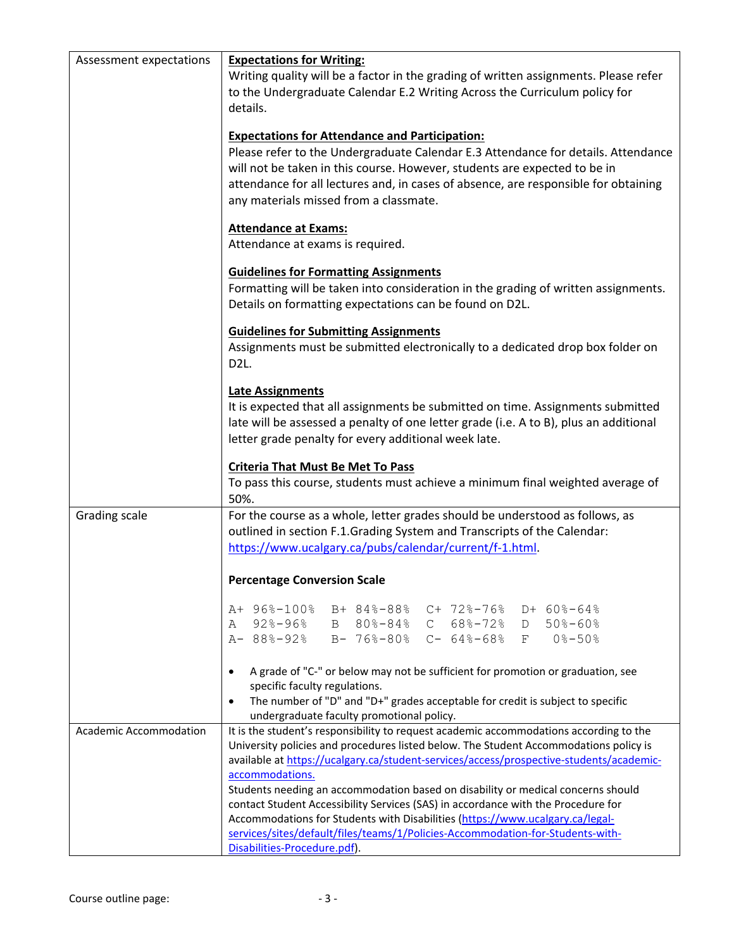| Assessment expectations | <b>Expectations for Writing:</b><br>Writing quality will be a factor in the grading of written assignments. Please refer<br>to the Undergraduate Calendar E.2 Writing Across the Curriculum policy for<br>details.<br><b>Expectations for Attendance and Participation:</b><br>Please refer to the Undergraduate Calendar E.3 Attendance for details. Attendance<br>will not be taken in this course. However, students are expected to be in<br>attendance for all lectures and, in cases of absence, are responsible for obtaining<br>any materials missed from a classmate.                                                                                            |
|-------------------------|---------------------------------------------------------------------------------------------------------------------------------------------------------------------------------------------------------------------------------------------------------------------------------------------------------------------------------------------------------------------------------------------------------------------------------------------------------------------------------------------------------------------------------------------------------------------------------------------------------------------------------------------------------------------------|
|                         | <b>Attendance at Exams:</b><br>Attendance at exams is required.                                                                                                                                                                                                                                                                                                                                                                                                                                                                                                                                                                                                           |
|                         | <b>Guidelines for Formatting Assignments</b><br>Formatting will be taken into consideration in the grading of written assignments.<br>Details on formatting expectations can be found on D2L.                                                                                                                                                                                                                                                                                                                                                                                                                                                                             |
|                         | <b>Guidelines for Submitting Assignments</b><br>Assignments must be submitted electronically to a dedicated drop box folder on<br>D <sub>2</sub> L.                                                                                                                                                                                                                                                                                                                                                                                                                                                                                                                       |
|                         | <b>Late Assignments</b><br>It is expected that all assignments be submitted on time. Assignments submitted<br>late will be assessed a penalty of one letter grade (i.e. A to B), plus an additional<br>letter grade penalty for every additional week late.                                                                                                                                                                                                                                                                                                                                                                                                               |
|                         | <b>Criteria That Must Be Met To Pass</b><br>To pass this course, students must achieve a minimum final weighted average of<br>50%.                                                                                                                                                                                                                                                                                                                                                                                                                                                                                                                                        |
| Grading scale           | For the course as a whole, letter grades should be understood as follows, as<br>outlined in section F.1.Grading System and Transcripts of the Calendar:<br>https://www.ucalgary.ca/pubs/calendar/current/f-1.html.                                                                                                                                                                                                                                                                                                                                                                                                                                                        |
|                         | <b>Percentage Conversion Scale</b>                                                                                                                                                                                                                                                                                                                                                                                                                                                                                                                                                                                                                                        |
|                         | A+ 96%-100% B+ 84%-88%<br>$C+ 72\text{8}-76\text{8}$ D+ 60%-64%<br>$92\% - 96\%$<br>B 80%-84% C 68%-72% D 50%-60%<br>A<br>A- 88%-92%<br>B- 76%-80% C- 64%-68% F 0%-50%                                                                                                                                                                                                                                                                                                                                                                                                                                                                                                    |
|                         | A grade of "C-" or below may not be sufficient for promotion or graduation, see<br>$\bullet$<br>specific faculty regulations.<br>The number of "D" and "D+" grades acceptable for credit is subject to specific<br>$\bullet$<br>undergraduate faculty promotional policy.                                                                                                                                                                                                                                                                                                                                                                                                 |
| Academic Accommodation  | It is the student's responsibility to request academic accommodations according to the<br>University policies and procedures listed below. The Student Accommodations policy is<br>available at https://ucalgary.ca/student-services/access/prospective-students/academic-<br>accommodations.<br>Students needing an accommodation based on disability or medical concerns should<br>contact Student Accessibility Services (SAS) in accordance with the Procedure for<br>Accommodations for Students with Disabilities (https://www.ucalgary.ca/legal-<br>services/sites/default/files/teams/1/Policies-Accommodation-for-Students-with-<br>Disabilities-Procedure.pdf). |